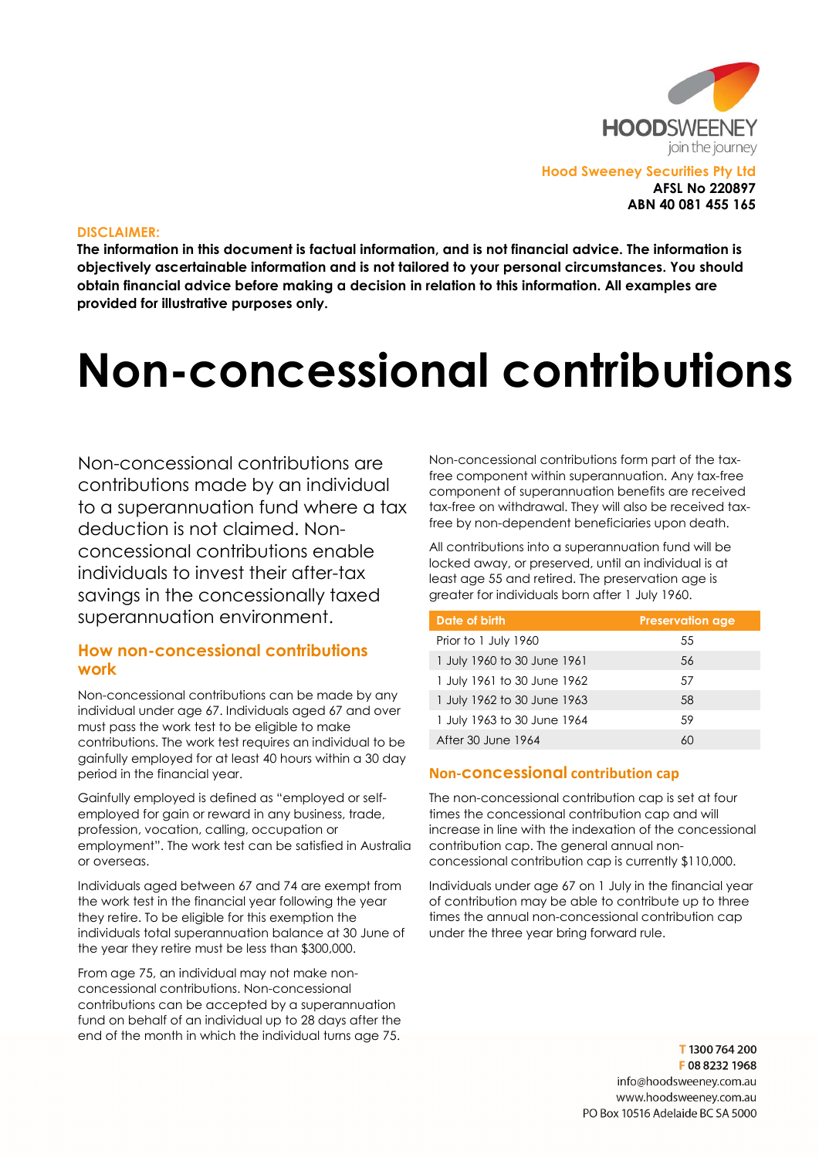

#### DISCLAIMER:

The information in this document is factual information, and is not financial advice. The information is objectively ascertainable information and is not tailored to your personal circumstances. You should obtain financial advice before making a decision in relation to this information. All examples are provided for illustrative purposes only.

# Non-concessional contributions

Non-concessional contributions are contributions made by an individual to a superannuation fund where a tax deduction is not claimed. Nonconcessional contributions enable individuals to invest their after-tax savings in the concessionally taxed superannuation environment.

### How non-concessional contributions work

Non-concessional contributions can be made by any individual under age 67. Individuals aged 67 and over must pass the work test to be eligible to make contributions. The work test requires an individual to be gainfully employed for at least 40 hours within a 30 day period in the financial year.

Gainfully employed is defined as "employed or selfemployed for gain or reward in any business, trade, profession, vocation, calling, occupation or employment". The work test can be satisfied in Australia or overseas.

Individuals aged between 67 and 74 are exempt from the work test in the financial year following the year they retire. To be eligible for this exemption the individuals total superannuation balance at 30 June of the year they retire must be less than \$300,000.

From age 75, an individual may not make nonconcessional contributions. Non-concessional contributions can be accepted by a superannuation fund on behalf of an individual up to 28 days after the end of the month in which the individual turns age 75. Non-concessional contributions form part of the taxfree component within superannuation. Any tax-free component of superannuation benefits are received tax-free on withdrawal. They will also be received taxfree by non-dependent beneficiaries upon death.

All contributions into a superannuation fund will be locked away, or preserved, until an individual is at least age 55 and retired. The preservation age is greater for individuals born after 1 July 1960.

| Date of birth               | <b>Preservation age</b> |
|-----------------------------|-------------------------|
| Prior to 1 July 1960        | 55                      |
| 1 July 1960 to 30 June 1961 | 56                      |
| 1 July 1961 to 30 June 1962 | .57                     |
| 1 July 1962 to 30 June 1963 | 58                      |
| 1 July 1963 to 30 June 1964 | .59                     |
| After 30 June 1964          | ሪስ                      |

#### Non-concessional contribution cap

The non-concessional contribution cap is set at four times the concessional contribution cap and will increase in line with the indexation of the concessional contribution cap. The general annual nonconcessional contribution cap is currently \$110,000.

Individuals under age 67 on 1 July in the financial year of contribution may be able to contribute up to three times the annual non-concessional contribution cap under the three year bring forward rule.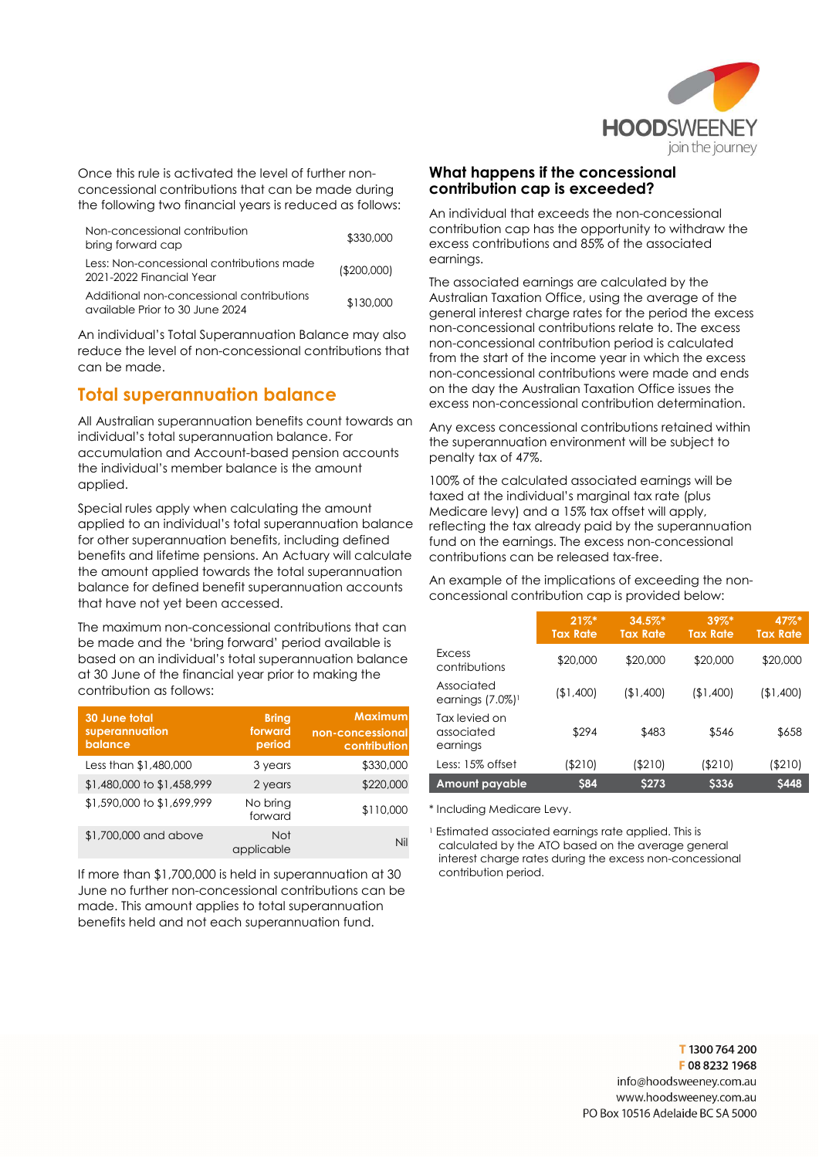

Once this rule is activated the level of further nonconcessional contributions that can be made during the following two financial years is reduced as follows:

| Non-concessional contribution<br>bring forward cap                           | \$330,000    |
|------------------------------------------------------------------------------|--------------|
| Less: Non-concessional contributions made<br>2021-2022 Financial Year        | ( \$200,000] |
| Additional non-concessional contributions<br>available Prior to 30 June 2024 | \$130,000    |

An individual's Total Superannuation Balance may also reduce the level of non-concessional contributions that can be made.

## Total superannuation balance

All Australian superannuation benefits count towards an individual's total superannuation balance. For accumulation and Account-based pension accounts the individual's member balance is the amount applied.

Special rules apply when calculating the amount applied to an individual's total superannuation balance for other superannuation benefits, including defined benefits and lifetime pensions. An Actuary will calculate the amount applied towards the total superannuation balance for defined benefit superannuation accounts that have not yet been accessed.

The maximum non-concessional contributions that can be made and the 'bring forward' period available is based on an individual's total superannuation balance at 30 June of the financial year prior to making the contribution as follows:

| <b>30 June total</b><br>superannuation<br>balance | <b>Bring</b><br>forward<br>period | <b>Maximum</b><br>non-concessional<br>contribution |
|---------------------------------------------------|-----------------------------------|----------------------------------------------------|
| Less than \$1,480,000                             | 3 years                           | \$330,000                                          |
| \$1,480,000 to \$1,458,999                        | 2 years                           | \$220,000                                          |
| \$1,590,000 to \$1,699,999                        | No bring<br>forward               | \$110,000                                          |
| \$1,700,000 and above                             | Not<br>applicable                 | Nil                                                |

If more than \$1,700,000 is held in superannuation at 30 June no further non-concessional contributions can be made. This amount applies to total superannuation benefits held and not each superannuation fund.

#### What happens if the concessional contribution cap is exceeded?

An individual that exceeds the non-concessional contribution cap has the opportunity to withdraw the excess contributions and 85% of the associated earnings.

The associated earnings are calculated by the Australian Taxation Office, using the average of the general interest charge rates for the period the excess non-concessional contributions relate to. The excess non-concessional contribution period is calculated from the start of the income year in which the excess non-concessional contributions were made and ends on the day the Australian Taxation Office issues the excess non-concessional contribution determination.

Any excess concessional contributions retained within the superannuation environment will be subject to penalty tax of 47%.

100% of the calculated associated earnings will be taxed at the individual's marginal tax rate (plus Medicare levy) and a 15% tax offset will apply, reflecting the tax already paid by the superannuation fund on the earnings. The excess non-concessional contributions can be released tax-free.

An example of the implications of exceeding the nonconcessional contribution cap is provided below:

|                                               | $21\%$ *<br><b>Tax Rate</b> | $34.5\%$ *<br><b>Tax Rate</b> | $39\%$ *<br><b>Tax Rate</b> | $47\%$ *<br><b>Tax Rate</b> |
|-----------------------------------------------|-----------------------------|-------------------------------|-----------------------------|-----------------------------|
| Excess<br>contributions                       | \$20,000                    | \$20,000                      | \$20,000                    | \$20,000                    |
| Associated<br>earnings $(7.0\%)$ <sup>1</sup> | (\$1,400)                   | (\$1,400)                     | (\$1,400)                   | (\$1,400)                   |
| Tax levied on<br>associated<br>earnings       | \$294                       | \$483                         | \$546                       | \$658                       |
| Less: 15% offset                              | (\$210)                     | (\$210)                       | ( \$210)                    | (\$210)                     |
| <b>Amount payable</b>                         | \$84                        | \$273                         | \$336                       | \$448                       |

\* Including Medicare Levy.

<sup>1</sup> Estimated associated earnings rate applied. This is calculated by the ATO based on the average general interest charge rates during the excess non-concessional contribution period.